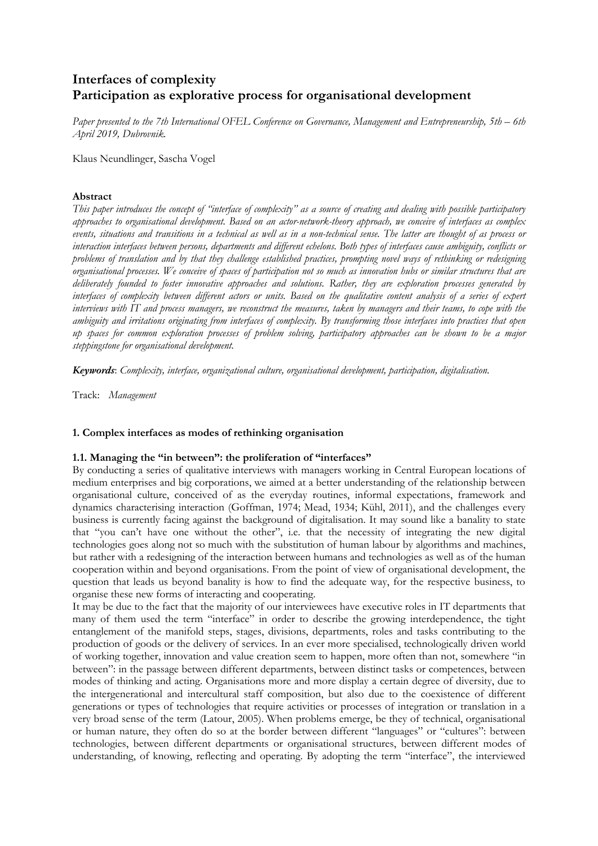# **Interfaces of complexity Participation as explorative process for organisational development**

*Paper presented to the 7th International OFEL Conference on Governance, Management and Entrepreneurship, 5th – 6th April 2019, Dubrovnik.*

Klaus Neundlinger, Sascha Vogel

### **Abstract**

*This paper introduces the concept of "interface of complexity" as a source of creating and dealing with possible participatory approaches to organisational development. Based on an actor-network-theory approach, we conceive of interfaces as complex events, situations and transitions in a technical as well as in a non-technical sense. The latter are thought of as process or interaction interfaces between persons, departments and different echelons. Both types of interfaces cause ambiguity, conflicts or problems of translation and by that they challenge established practices, prompting novel ways of rethinking or redesigning organisational processes. We conceive of spaces of participation not so much as innovation hubs or similar structures that are deliberately founded to foster innovative approaches and solutions. Rather, they are exploration processes generated by interfaces of complexity between different actors or units. Based on the qualitative content analysis of a series of expert interviews with IT and process managers, we reconstruct the measures, taken by managers and their teams, to cope with the ambiguity and irritations originating from interfaces of complexity. By transforming those interfaces into practices that open up spaces for common exploration processes of problem solving, participatory approaches can be shown to be a major steppingstone for organisational development.*

*Keywords*: *Complexity, interface, organizational culture, organisational development, participation, digitalisation.*

Track: *Management*

### **1. Complex interfaces as modes of rethinking organisation**

### **1.1. Managing the "in between": the proliferation of "interfaces"**

By conducting a series of qualitative interviews with managers working in Central European locations of medium enterprises and big corporations, we aimed at a better understanding of the relationship between organisational culture, conceived of as the everyday routines, informal expectations, framework and dynamics characterising interaction (Goffman, 1974; Mead, 1934; Kühl, 2011), and the challenges every business is currently facing against the background of digitalisation. It may sound like a banality to state that "you can't have one without the other", i.e. that the necessity of integrating the new digital technologies goes along not so much with the substitution of human labour by algorithms and machines, but rather with a redesigning of the interaction between humans and technologies as well as of the human cooperation within and beyond organisations. From the point of view of organisational development, the question that leads us beyond banality is how to find the adequate way, for the respective business, to organise these new forms of interacting and cooperating.

It may be due to the fact that the majority of our interviewees have executive roles in IT departments that many of them used the term "interface" in order to describe the growing interdependence, the tight entanglement of the manifold steps, stages, divisions, departments, roles and tasks contributing to the production of goods or the delivery of services. In an ever more specialised, technologically driven world of working together, innovation and value creation seem to happen, more often than not, somewhere "in between": in the passage between different departments, between distinct tasks or competences, between modes of thinking and acting. Organisations more and more display a certain degree of diversity, due to the intergenerational and intercultural staff composition, but also due to the coexistence of different generations or types of technologies that require activities or processes of integration or translation in a very broad sense of the term (Latour, 2005). When problems emerge, be they of technical, organisational or human nature, they often do so at the border between different "languages" or "cultures": between technologies, between different departments or organisational structures, between different modes of understanding, of knowing, reflecting and operating. By adopting the term "interface", the interviewed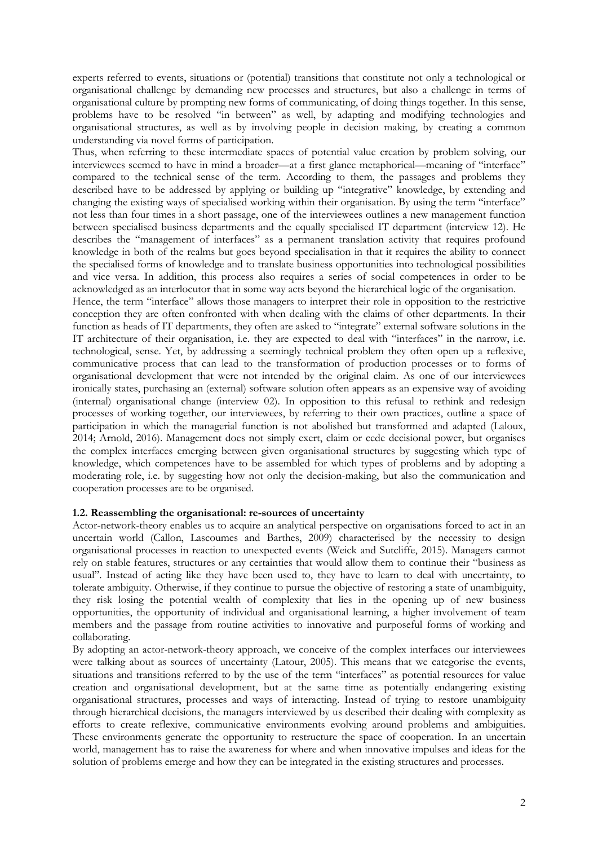experts referred to events, situations or (potential) transitions that constitute not only a technological or organisational challenge by demanding new processes and structures, but also a challenge in terms of organisational culture by prompting new forms of communicating, of doing things together. In this sense, problems have to be resolved "in between" as well, by adapting and modifying technologies and organisational structures, as well as by involving people in decision making, by creating a common understanding via novel forms of participation.

Thus, when referring to these intermediate spaces of potential value creation by problem solving, our interviewees seemed to have in mind a broader—at a first glance metaphorical—meaning of "interface" compared to the technical sense of the term. According to them, the passages and problems they described have to be addressed by applying or building up "integrative" knowledge, by extending and changing the existing ways of specialised working within their organisation. By using the term "interface" not less than four times in a short passage, one of the interviewees outlines a new management function between specialised business departments and the equally specialised IT department (interview 12). He describes the "management of interfaces" as a permanent translation activity that requires profound knowledge in both of the realms but goes beyond specialisation in that it requires the ability to connect the specialised forms of knowledge and to translate business opportunities into technological possibilities and vice versa. In addition, this process also requires a series of social competences in order to be acknowledged as an interlocutor that in some way acts beyond the hierarchical logic of the organisation.

Hence, the term "interface" allows those managers to interpret their role in opposition to the restrictive conception they are often confronted with when dealing with the claims of other departments. In their function as heads of IT departments, they often are asked to "integrate" external software solutions in the IT architecture of their organisation, i.e. they are expected to deal with "interfaces" in the narrow, i.e. technological, sense. Yet, by addressing a seemingly technical problem they often open up a reflexive, communicative process that can lead to the transformation of production processes or to forms of organisational development that were not intended by the original claim. As one of our interviewees ironically states, purchasing an (external) software solution often appears as an expensive way of avoiding (internal) organisational change (interview 02). In opposition to this refusal to rethink and redesign processes of working together, our interviewees, by referring to their own practices, outline a space of participation in which the managerial function is not abolished but transformed and adapted (Laloux, 2014; Arnold, 2016). Management does not simply exert, claim or cede decisional power, but organises the complex interfaces emerging between given organisational structures by suggesting which type of knowledge, which competences have to be assembled for which types of problems and by adopting a moderating role, i.e. by suggesting how not only the decision-making, but also the communication and cooperation processes are to be organised.

## **1.2. Reassembling the organisational: re-sources of uncertainty**

Actor-network-theory enables us to acquire an analytical perspective on organisations forced to act in an uncertain world (Callon, Lascoumes and Barthes, 2009) characterised by the necessity to design organisational processes in reaction to unexpected events (Weick and Sutcliffe, 2015). Managers cannot rely on stable features, structures or any certainties that would allow them to continue their "business as usual". Instead of acting like they have been used to, they have to learn to deal with uncertainty, to tolerate ambiguity. Otherwise, if they continue to pursue the objective of restoring a state of unambiguity, they risk losing the potential wealth of complexity that lies in the opening up of new business opportunities, the opportunity of individual and organisational learning, a higher involvement of team members and the passage from routine activities to innovative and purposeful forms of working and collaborating.

By adopting an actor-network-theory approach, we conceive of the complex interfaces our interviewees were talking about as sources of uncertainty (Latour, 2005). This means that we categorise the events, situations and transitions referred to by the use of the term "interfaces" as potential resources for value creation and organisational development, but at the same time as potentially endangering existing organisational structures, processes and ways of interacting. Instead of trying to restore unambiguity through hierarchical decisions, the managers interviewed by us described their dealing with complexity as efforts to create reflexive, communicative environments evolving around problems and ambiguities. These environments generate the opportunity to restructure the space of cooperation. In an uncertain world, management has to raise the awareness for where and when innovative impulses and ideas for the solution of problems emerge and how they can be integrated in the existing structures and processes.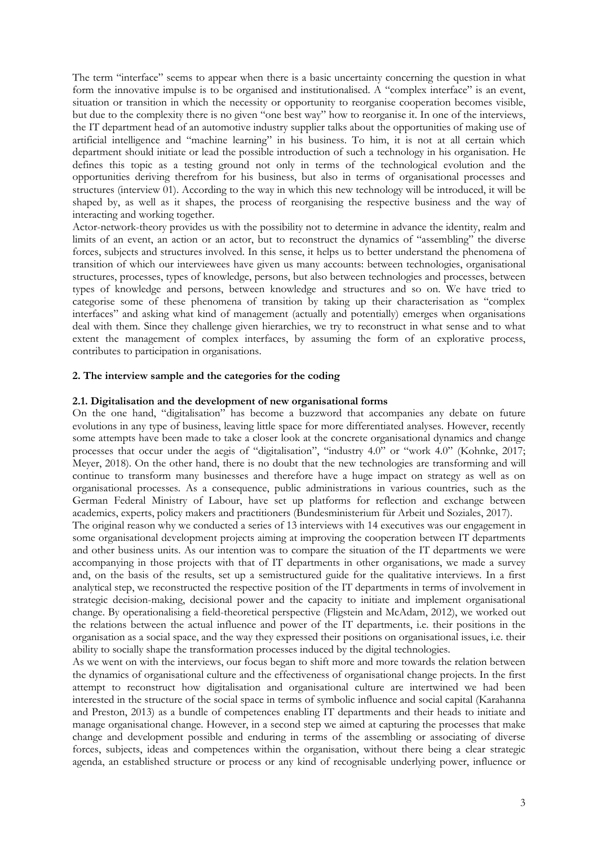The term "interface" seems to appear when there is a basic uncertainty concerning the question in what form the innovative impulse is to be organised and institutionalised. A "complex interface" is an event, situation or transition in which the necessity or opportunity to reorganise cooperation becomes visible, but due to the complexity there is no given "one best way" how to reorganise it. In one of the interviews, the IT department head of an automotive industry supplier talks about the opportunities of making use of artificial intelligence and "machine learning" in his business. To him, it is not at all certain which department should initiate or lead the possible introduction of such a technology in his organisation. He defines this topic as a testing ground not only in terms of the technological evolution and the opportunities deriving therefrom for his business, but also in terms of organisational processes and structures (interview 01). According to the way in which this new technology will be introduced, it will be shaped by, as well as it shapes, the process of reorganising the respective business and the way of interacting and working together.

Actor-network-theory provides us with the possibility not to determine in advance the identity, realm and limits of an event, an action or an actor, but to reconstruct the dynamics of "assembling" the diverse forces, subjects and structures involved. In this sense, it helps us to better understand the phenomena of transition of which our interviewees have given us many accounts: between technologies, organisational structures, processes, types of knowledge, persons, but also between technologies and processes, between types of knowledge and persons, between knowledge and structures and so on. We have tried to categorise some of these phenomena of transition by taking up their characterisation as "complex interfaces" and asking what kind of management (actually and potentially) emerges when organisations deal with them. Since they challenge given hierarchies, we try to reconstruct in what sense and to what extent the management of complex interfaces, by assuming the form of an explorative process, contributes to participation in organisations.

### **2. The interview sample and the categories for the coding**

### **2.1. Digitalisation and the development of new organisational forms**

On the one hand, "digitalisation" has become a buzzword that accompanies any debate on future evolutions in any type of business, leaving little space for more differentiated analyses. However, recently some attempts have been made to take a closer look at the concrete organisational dynamics and change processes that occur under the aegis of "digitalisation", "industry 4.0" or "work 4.0" (Kohnke, 2017; Meyer, 2018). On the other hand, there is no doubt that the new technologies are transforming and will continue to transform many businesses and therefore have a huge impact on strategy as well as on organisational processes. As a consequence, public administrations in various countries, such as the German Federal Ministry of Labour, have set up platforms for reflection and exchange between academics, experts, policy makers and practitioners (Bundesministerium für Arbeit und Soziales, 2017).

The original reason why we conducted a series of 13 interviews with 14 executives was our engagement in some organisational development projects aiming at improving the cooperation between IT departments and other business units. As our intention was to compare the situation of the IT departments we were accompanying in those projects with that of IT departments in other organisations, we made a survey and, on the basis of the results, set up a semistructured guide for the qualitative interviews. In a first analytical step, we reconstructed the respective position of the IT departments in terms of involvement in strategic decision-making, decisional power and the capacity to initiate and implement organisational change. By operationalising a field-theoretical perspective (Fligstein and McAdam, 2012), we worked out the relations between the actual influence and power of the IT departments, i.e. their positions in the organisation as a social space, and the way they expressed their positions on organisational issues, i.e. their ability to socially shape the transformation processes induced by the digital technologies.

As we went on with the interviews, our focus began to shift more and more towards the relation between the dynamics of organisational culture and the effectiveness of organisational change projects. In the first attempt to reconstruct how digitalisation and organisational culture are intertwined we had been interested in the structure of the social space in terms of symbolic influence and social capital (Karahanna and Preston, 2013) as a bundle of competences enabling IT departments and their heads to initiate and manage organisational change. However, in a second step we aimed at capturing the processes that make change and development possible and enduring in terms of the assembling or associating of diverse forces, subjects, ideas and competences within the organisation, without there being a clear strategic agenda, an established structure or process or any kind of recognisable underlying power, influence or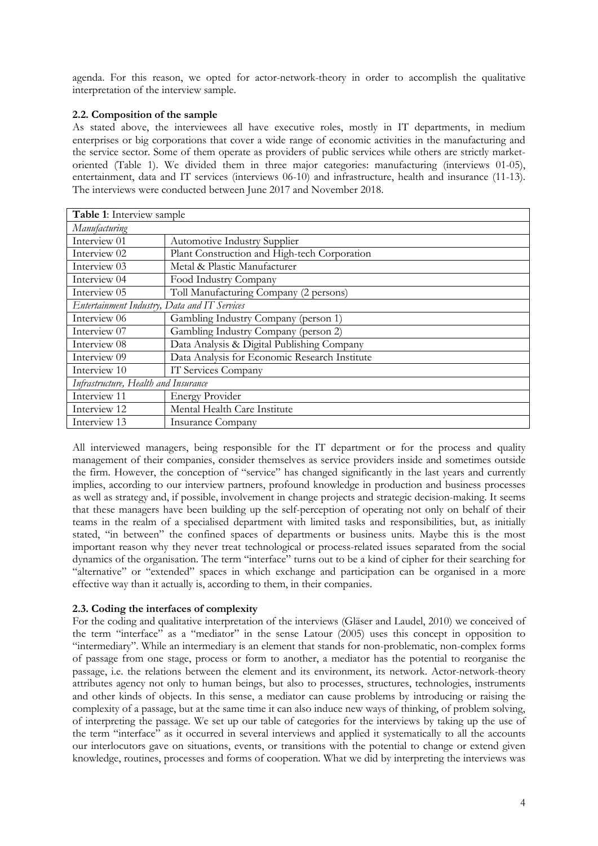agenda. For this reason, we opted for actor-network-theory in order to accomplish the qualitative interpretation of the interview sample.

# **2.2. Composition of the sample**

As stated above, the interviewees all have executive roles, mostly in IT departments, in medium enterprises or big corporations that cover a wide range of economic activities in the manufacturing and the service sector. Some of them operate as providers of public services while others are strictly marketoriented (Table 1). We divided them in three major categories: manufacturing (interviews 01-05), entertainment, data and IT services (interviews 06-10) and infrastructure, health and insurance (11-13). The interviews were conducted between June 2017 and November 2018.

| Table 1: Interview sample                    |                                               |  |
|----------------------------------------------|-----------------------------------------------|--|
| Manufacturing                                |                                               |  |
| Interview 01                                 | <b>Automotive Industry Supplier</b>           |  |
| Interview 02                                 | Plant Construction and High-tech Corporation  |  |
| Interview 03                                 | Metal & Plastic Manufacturer                  |  |
| Interview 04                                 | Food Industry Company                         |  |
| Interview 05                                 | Toll Manufacturing Company (2 persons)        |  |
| Entertainment Industry, Data and IT Services |                                               |  |
| Interview 06                                 | Gambling Industry Company (person 1)          |  |
| Interview 07                                 | Gambling Industry Company (person 2)          |  |
| Interview 08                                 | Data Analysis & Digital Publishing Company    |  |
| Interview 09                                 | Data Analysis for Economic Research Institute |  |
| Interview 10                                 | IT Services Company                           |  |
| Infrastructure, Health and Insurance         |                                               |  |
| Interview 11                                 | <b>Energy Provider</b>                        |  |
| Interview 12                                 | Mental Health Care Institute                  |  |
| Interview 13                                 | <b>Insurance Company</b>                      |  |

All interviewed managers, being responsible for the IT department or for the process and quality management of their companies, consider themselves as service providers inside and sometimes outside the firm. However, the conception of "service" has changed significantly in the last years and currently implies, according to our interview partners, profound knowledge in production and business processes as well as strategy and, if possible, involvement in change projects and strategic decision-making. It seems that these managers have been building up the self-perception of operating not only on behalf of their teams in the realm of a specialised department with limited tasks and responsibilities, but, as initially stated, "in between" the confined spaces of departments or business units. Maybe this is the most important reason why they never treat technological or process-related issues separated from the social dynamics of the organisation. The term "interface" turns out to be a kind of cipher for their searching for "alternative" or "extended" spaces in which exchange and participation can be organised in a more effective way than it actually is, according to them, in their companies.

## **2.3. Coding the interfaces of complexity**

For the coding and qualitative interpretation of the interviews (Gläser and Laudel, 2010) we conceived of the term "interface" as a "mediator" in the sense Latour (2005) uses this concept in opposition to "intermediary". While an intermediary is an element that stands for non-problematic, non-complex forms of passage from one stage, process or form to another, a mediator has the potential to reorganise the passage, i.e. the relations between the element and its environment, its network. Actor-network-theory attributes agency not only to human beings, but also to processes, structures, technologies, instruments and other kinds of objects. In this sense, a mediator can cause problems by introducing or raising the complexity of a passage, but at the same time it can also induce new ways of thinking, of problem solving, of interpreting the passage. We set up our table of categories for the interviews by taking up the use of the term "interface" as it occurred in several interviews and applied it systematically to all the accounts our interlocutors gave on situations, events, or transitions with the potential to change or extend given knowledge, routines, processes and forms of cooperation. What we did by interpreting the interviews was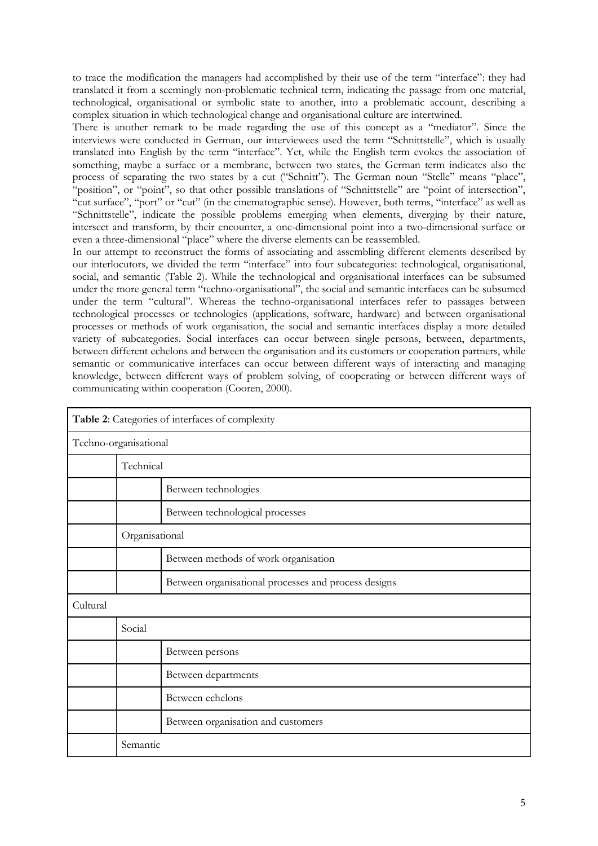to trace the modification the managers had accomplished by their use of the term "interface": they had translated it from a seemingly non-problematic technical term, indicating the passage from one material, technological, organisational or symbolic state to another, into a problematic account, describing a complex situation in which technological change and organisational culture are intertwined.

There is another remark to be made regarding the use of this concept as a "mediator". Since the interviews were conducted in German, our interviewees used the term "Schnittstelle", which is usually translated into English by the term "interface". Yet, while the English term evokes the association of something, maybe a surface or a membrane, between two states, the German term indicates also the process of separating the two states by a cut ("Schnitt"). The German noun "Stelle" means "place", "position", or "point", so that other possible translations of "Schnittstelle" are "point of intersection", "cut surface", "port" or "cut" (in the cinematographic sense). However, both terms, "interface" as well as "Schnittstelle", indicate the possible problems emerging when elements, diverging by their nature, intersect and transform, by their encounter, a one-dimensional point into a two-dimensional surface or even a three-dimensional "place" where the diverse elements can be reassembled.

In our attempt to reconstruct the forms of associating and assembling different elements described by our interlocutors, we divided the term "interface" into four subcategories: technological, organisational, social, and semantic (Table 2). While the technological and organisational interfaces can be subsumed under the more general term "techno-organisational", the social and semantic interfaces can be subsumed under the term "cultural". Whereas the techno-organisational interfaces refer to passages between technological processes or technologies (applications, software, hardware) and between organisational processes or methods of work organisation, the social and semantic interfaces display a more detailed variety of subcategories. Social interfaces can occur between single persons, between, departments, between different echelons and between the organisation and its customers or cooperation partners, while semantic or communicative interfaces can occur between different ways of interacting and managing knowledge, between different ways of problem solving, of cooperating or between different ways of communicating within cooperation (Cooren, 2000).

| Table 2: Categories of interfaces of complexity |                |                                                      |  |
|-------------------------------------------------|----------------|------------------------------------------------------|--|
| Techno-organisational                           |                |                                                      |  |
|                                                 | Technical      |                                                      |  |
|                                                 |                | Between technologies                                 |  |
|                                                 |                | Between technological processes                      |  |
|                                                 | Organisational |                                                      |  |
|                                                 |                | Between methods of work organisation                 |  |
|                                                 |                | Between organisational processes and process designs |  |
| Cultural                                        |                |                                                      |  |
|                                                 | Social         |                                                      |  |
|                                                 |                | Between persons                                      |  |
|                                                 |                | Between departments                                  |  |
|                                                 |                | Between echelons                                     |  |
|                                                 |                | Between organisation and customers                   |  |
|                                                 | Semantic       |                                                      |  |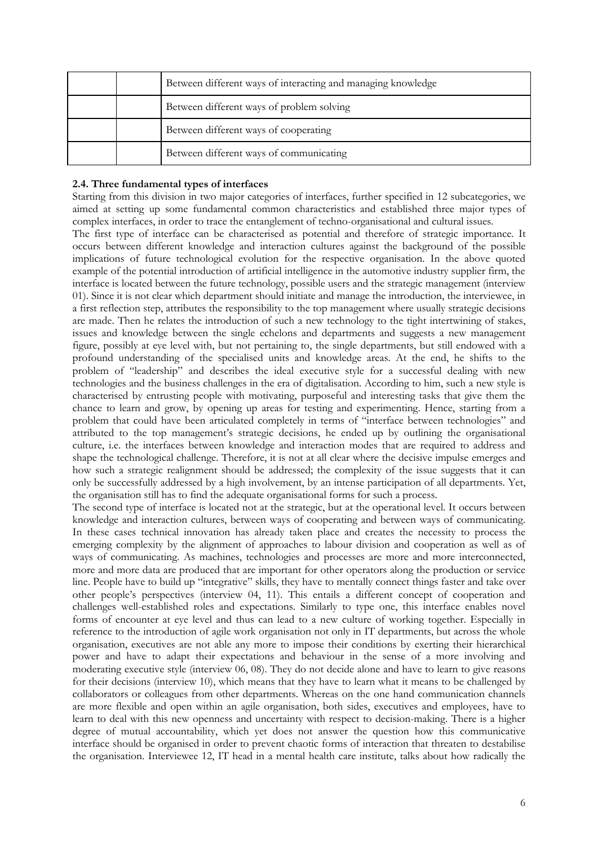|  | Between different ways of interacting and managing knowledge |
|--|--------------------------------------------------------------|
|  | Between different ways of problem solving                    |
|  | Between different ways of cooperating                        |
|  | Between different ways of communicating                      |

# **2.4. Three fundamental types of interfaces**

Starting from this division in two major categories of interfaces, further specified in 12 subcategories, we aimed at setting up some fundamental common characteristics and established three major types of complex interfaces, in order to trace the entanglement of techno-organisational and cultural issues.

The first type of interface can be characterised as potential and therefore of strategic importance. It occurs between different knowledge and interaction cultures against the background of the possible implications of future technological evolution for the respective organisation. In the above quoted example of the potential introduction of artificial intelligence in the automotive industry supplier firm, the interface is located between the future technology, possible users and the strategic management (interview 01). Since it is not clear which department should initiate and manage the introduction, the interviewee, in a first reflection step, attributes the responsibility to the top management where usually strategic decisions are made. Then he relates the introduction of such a new technology to the tight intertwining of stakes, issues and knowledge between the single echelons and departments and suggests a new management figure, possibly at eye level with, but not pertaining to, the single departments, but still endowed with a profound understanding of the specialised units and knowledge areas. At the end, he shifts to the problem of "leadership" and describes the ideal executive style for a successful dealing with new technologies and the business challenges in the era of digitalisation. According to him, such a new style is characterised by entrusting people with motivating, purposeful and interesting tasks that give them the chance to learn and grow, by opening up areas for testing and experimenting. Hence, starting from a problem that could have been articulated completely in terms of "interface between technologies" and attributed to the top management's strategic decisions, he ended up by outlining the organisational culture, i.e. the interfaces between knowledge and interaction modes that are required to address and shape the technological challenge. Therefore, it is not at all clear where the decisive impulse emerges and how such a strategic realignment should be addressed; the complexity of the issue suggests that it can only be successfully addressed by a high involvement, by an intense participation of all departments. Yet, the organisation still has to find the adequate organisational forms for such a process.

The second type of interface is located not at the strategic, but at the operational level. It occurs between knowledge and interaction cultures, between ways of cooperating and between ways of communicating. In these cases technical innovation has already taken place and creates the necessity to process the emerging complexity by the alignment of approaches to labour division and cooperation as well as of ways of communicating. As machines, technologies and processes are more and more interconnected, more and more data are produced that are important for other operators along the production or service line. People have to build up "integrative" skills, they have to mentally connect things faster and take over other people's perspectives (interview 04, 11). This entails a different concept of cooperation and challenges well-established roles and expectations. Similarly to type one, this interface enables novel forms of encounter at eye level and thus can lead to a new culture of working together. Especially in reference to the introduction of agile work organisation not only in IT departments, but across the whole organisation, executives are not able any more to impose their conditions by exerting their hierarchical power and have to adapt their expectations and behaviour in the sense of a more involving and moderating executive style (interview 06, 08). They do not decide alone and have to learn to give reasons for their decisions (interview 10), which means that they have to learn what it means to be challenged by collaborators or colleagues from other departments. Whereas on the one hand communication channels are more flexible and open within an agile organisation, both sides, executives and employees, have to learn to deal with this new openness and uncertainty with respect to decision-making. There is a higher degree of mutual accountability, which yet does not answer the question how this communicative interface should be organised in order to prevent chaotic forms of interaction that threaten to destabilise the organisation. Interviewee 12, IT head in a mental health care institute, talks about how radically the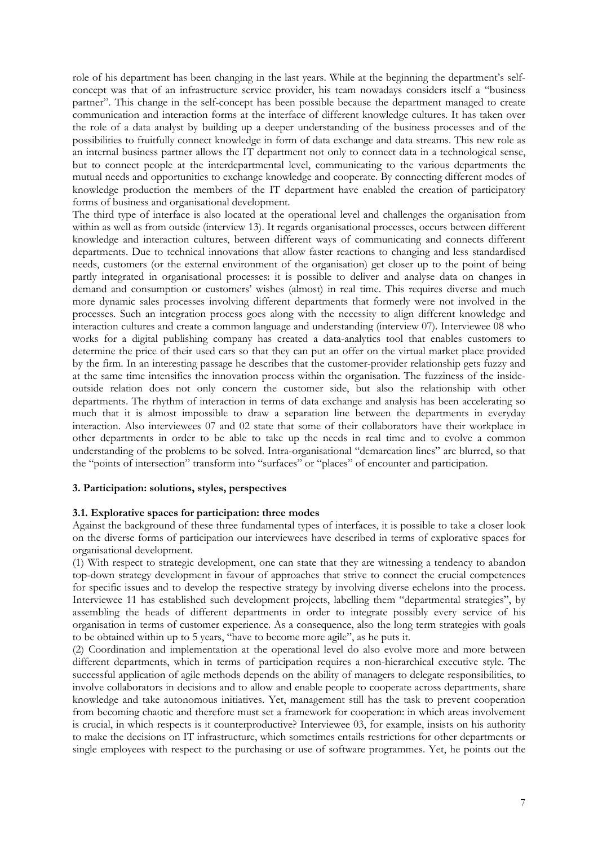role of his department has been changing in the last years. While at the beginning the department's selfconcept was that of an infrastructure service provider, his team nowadays considers itself a "business partner". This change in the self-concept has been possible because the department managed to create communication and interaction forms at the interface of different knowledge cultures. It has taken over the role of a data analyst by building up a deeper understanding of the business processes and of the possibilities to fruitfully connect knowledge in form of data exchange and data streams. This new role as an internal business partner allows the IT department not only to connect data in a technological sense, but to connect people at the interdepartmental level, communicating to the various departments the mutual needs and opportunities to exchange knowledge and cooperate. By connecting different modes of knowledge production the members of the IT department have enabled the creation of participatory forms of business and organisational development.

The third type of interface is also located at the operational level and challenges the organisation from within as well as from outside (interview 13). It regards organisational processes, occurs between different knowledge and interaction cultures, between different ways of communicating and connects different departments. Due to technical innovations that allow faster reactions to changing and less standardised needs, customers (or the external environment of the organisation) get closer up to the point of being partly integrated in organisational processes: it is possible to deliver and analyse data on changes in demand and consumption or customers' wishes (almost) in real time. This requires diverse and much more dynamic sales processes involving different departments that formerly were not involved in the processes. Such an integration process goes along with the necessity to align different knowledge and interaction cultures and create a common language and understanding (interview 07). Interviewee 08 who works for a digital publishing company has created a data-analytics tool that enables customers to determine the price of their used cars so that they can put an offer on the virtual market place provided by the firm. In an interesting passage he describes that the customer-provider relationship gets fuzzy and at the same time intensifies the innovation process within the organisation. The fuzziness of the insideoutside relation does not only concern the customer side, but also the relationship with other departments. The rhythm of interaction in terms of data exchange and analysis has been accelerating so much that it is almost impossible to draw a separation line between the departments in everyday interaction. Also interviewees 07 and 02 state that some of their collaborators have their workplace in other departments in order to be able to take up the needs in real time and to evolve a common understanding of the problems to be solved. Intra-organisational "demarcation lines" are blurred, so that the "points of intersection" transform into "surfaces" or "places" of encounter and participation.

## **3. Participation: solutions, styles, perspectives**

#### **3.1. Explorative spaces for participation: three modes**

Against the background of these three fundamental types of interfaces, it is possible to take a closer look on the diverse forms of participation our interviewees have described in terms of explorative spaces for organisational development.

(1) With respect to strategic development, one can state that they are witnessing a tendency to abandon top-down strategy development in favour of approaches that strive to connect the crucial competences for specific issues and to develop the respective strategy by involving diverse echelons into the process. Interviewee 11 has established such development projects, labelling them "departmental strategies", by assembling the heads of different departments in order to integrate possibly every service of his organisation in terms of customer experience. As a consequence, also the long term strategies with goals to be obtained within up to 5 years, "have to become more agile", as he puts it.

(2) Coordination and implementation at the operational level do also evolve more and more between different departments, which in terms of participation requires a non-hierarchical executive style. The successful application of agile methods depends on the ability of managers to delegate responsibilities, to involve collaborators in decisions and to allow and enable people to cooperate across departments, share knowledge and take autonomous initiatives. Yet, management still has the task to prevent cooperation from becoming chaotic and therefore must set a framework for cooperation: in which areas involvement is crucial, in which respects is it counterproductive? Interviewee 03, for example, insists on his authority to make the decisions on IT infrastructure, which sometimes entails restrictions for other departments or single employees with respect to the purchasing or use of software programmes. Yet, he points out the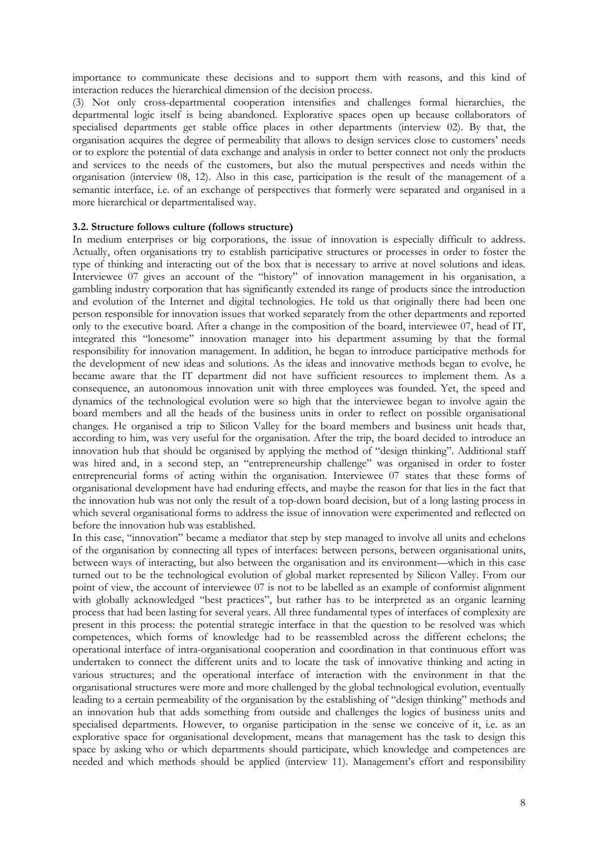importance to communicate these decisions and to support them with reasons, and this kind of interaction reduces the hierarchical dimension of the decision process.

(3) Not only cross-departmental cooperation intensifies and challenges formal hierarchies, the departmental logic itself is being abandoned. Explorative spaces open up because collaborators of specialised departments get stable office places in other departments (interview 02). By that, the organisation acquires the degree of permeability that allows to design services close to customers' needs or to explore the potential of data exchange and analysis in order to better connect not only the products and services to the needs of the customers, but also the mutual perspectives and needs within the organisation (interview 08, 12). Also in this case, participation is the result of the management of a semantic interface, i.e. of an exchange of perspectives that formerly were separated and organised in a more hierarchical or departmentalised way.

#### **3.2. Structure follows culture (follows structure)**

In medium enterprises or big corporations, the issue of innovation is especially difficult to address. Actually, often organisations try to establish participative structures or processes in order to foster the type of thinking and interacting out of the box that is necessary to arrive at novel solutions and ideas. Interviewee 07 gives an account of the "history" of innovation management in his organisation, a gambling industry corporation that has significantly extended its range of products since the introduction and evolution of the Internet and digital technologies. He told us that originally there had been one person responsible for innovation issues that worked separately from the other departments and reported only to the executive board. After a change in the composition of the board, interviewee 07, head of IT, integrated this "lonesome" innovation manager into his department assuming by that the formal responsibility for innovation management. In addition, he began to introduce participative methods for the development of new ideas and solutions. As the ideas and innovative methods began to evolve, he became aware that the IT department did not have sufficient resources to implement them. As a consequence, an autonomous innovation unit with three employees was founded. Yet, the speed and dynamics of the technological evolution were so high that the interviewee began to involve again the board members and all the heads of the business units in order to reflect on possible organisational changes. He organised a trip to Silicon Valley for the board members and business unit heads that, according to him, was very useful for the organisation. After the trip, the board decided to introduce an innovation hub that should be organised by applying the method of "design thinking". Additional staff was hired and, in a second step, an "entrepreneurship challenge" was organised in order to foster entrepreneurial forms of acting within the organisation. Interviewee 07 states that these forms of organisational development have had enduring effects, and maybe the reason for that lies in the fact that the innovation hub was not only the result of a top-down board decision, but of a long lasting process in which several organisational forms to address the issue of innovation were experimented and reflected on before the innovation hub was established.

In this case, "innovation" became a mediator that step by step managed to involve all units and echelons of the organisation by connecting all types of interfaces: between persons, between organisational units, between ways of interacting, but also between the organisation and its environment—which in this case turned out to be the technological evolution of global market represented by Silicon Valley. From our point of view, the account of interviewee 07 is not to be labelled as an example of conformist alignment with globally acknowledged "best practices", but rather has to be interpreted as an organic learning process that had been lasting for several years. All three fundamental types of interfaces of complexity are present in this process: the potential strategic interface in that the question to be resolved was which competences, which forms of knowledge had to be reassembled across the different echelons; the operational interface of intra-organisational cooperation and coordination in that continuous effort was undertaken to connect the different units and to locate the task of innovative thinking and acting in various structures; and the operational interface of interaction with the environment in that the organisational structures were more and more challenged by the global technological evolution, eventually leading to a certain permeability of the organisation by the establishing of "design thinking" methods and an innovation hub that adds something from outside and challenges the logics of business units and specialised departments. However, to organise participation in the sense we conceive of it, i.e. as an explorative space for organisational development, means that management has the task to design this space by asking who or which departments should participate, which knowledge and competences are needed and which methods should be applied (interview 11). Management's effort and responsibility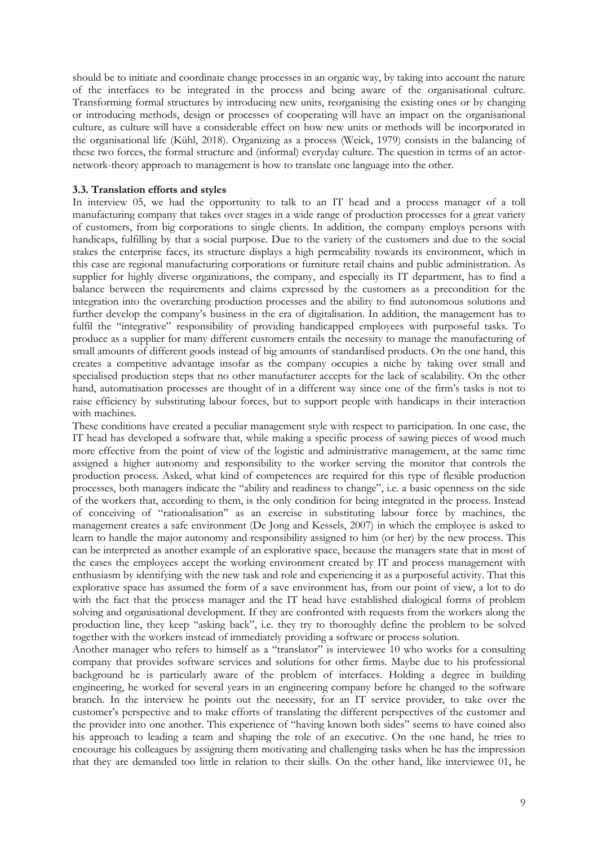should be to initiate and coordinate change processes in an organic way, by taking into account the nature of the interfaces to be integrated in the process and being aware of the organisational culture. Transforming formal structures by introducing new units, reorganising the existing ones or by changing or introducing methods, design or processes of cooperating will have an impact on the organisational culture, as culture will have a considerable effect on how new units or methods will be incorporated in the organisational life (Kühl, 2018). Organizing as a process (Weick, 1979) consists in the balancing of these two forces, the formal structure and (informal) everyday culture. The question in terms of an actornetwork-theory approach to management is how to translate one language into the other.

### **3.3. Translation efforts and styles**

In interview 05, we had the opportunity to talk to an IT head and a process manager of a toll manufacturing company that takes over stages in a wide range of production processes for a great variety of customers, from big corporations to single clients. In addition, the company employs persons with handicaps, fulfilling by that a social purpose. Due to the variety of the customers and due to the social stakes the enterprise faces, its structure displays a high permeability towards its environment, which in this case are regional manufacturing corporations or furniture retail chains and public administration. As supplier for highly diverse organizations, the company, and especially its IT department, has to find a balance between the requirements and claims expressed by the customers as a precondition for the integration into the overarching production processes and the ability to find autonomous solutions and further develop the company's business in the era of digitalisation. In addition, the management has to fulfil the "integrative" responsibility of providing handicapped employees with purposeful tasks. To produce as a supplier for many different customers entails the necessity to manage the manufacturing of small amounts of different goods instead of big amounts of standardised products. On the one hand, this creates a competitive advantage insofar as the company occupies a niche by taking over small and specialised production steps that no other manufacturer accepts for the lack of scalability. On the other hand, automatisation processes are thought of in a different way since one of the firm's tasks is not to raise efficiency by substituting labour forces, but to support people with handicaps in their interaction with machines.

These conditions have created a peculiar management style with respect to participation. In one case, the IT head has developed a software that, while making a specific process of sawing pieces of wood much more effective from the point of view of the logistic and administrative management, at the same time assigned a higher autonomy and responsibility to the worker serving the monitor that controls the production process. Asked, what kind of competences are required for this type of flexible production processes, both managers indicate the "ability and readiness to change", i.e. a basic openness on the side of the workers that, according to them, is the only condition for being integrated in the process. Instead of conceiving of "rationalisation" as an exercise in substituting labour force by machines, the management creates a safe environment (De Jong and Kessels, 2007) in which the employee is asked to learn to handle the major autonomy and responsibility assigned to him (or her) by the new process. This can be interpreted as another example of an explorative space, because the managers state that in most of the cases the employees accept the working environment created by IT and process management with enthusiasm by identifying with the new task and role and experiencing it as a purposeful activity. That this explorative space has assumed the form of a save environment has, from our point of view, a lot to do with the fact that the process manager and the IT head have established dialogical forms of problem solving and organisational development. If they are confronted with requests from the workers along the production line, they keep "asking back", i.e. they try to thoroughly define the problem to be solved together with the workers instead of immediately providing a software or process solution.

Another manager who refers to himself as a "translator" is interviewee 10 who works for a consulting company that provides software services and solutions for other firms. Maybe due to his professional background he is particularly aware of the problem of interfaces. Holding a degree in building engineering, he worked for several years in an engineering company before he changed to the software branch. In the interview he points out the necessity, for an IT service provider, to take over the customer's perspective and to make efforts of translating the different perspectives of the customer and the provider into one another. This experience of "having known both sides" seems to have coined also his approach to leading a team and shaping the role of an executive. On the one hand, he tries to encourage his colleagues by assigning them motivating and challenging tasks when he has the impression that they are demanded too little in relation to their skills. On the other hand, like interviewee 01, he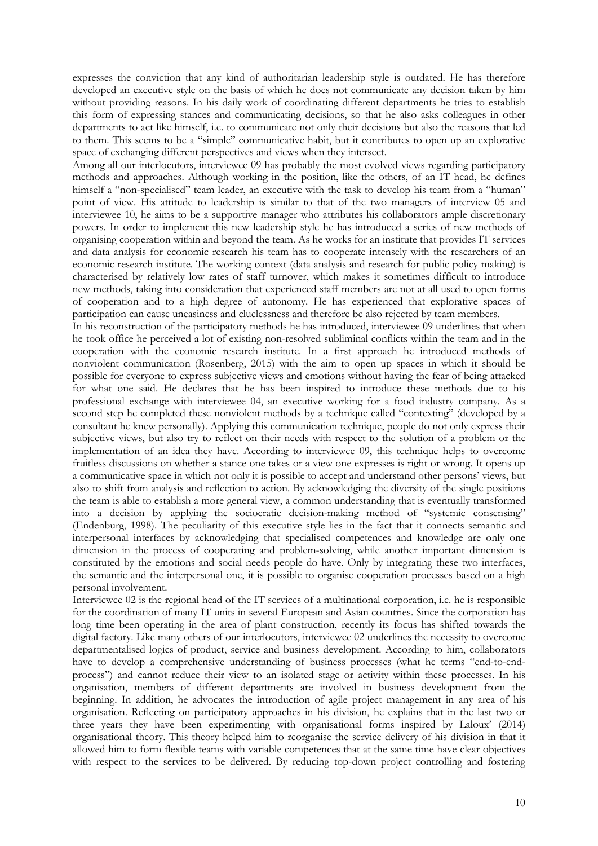expresses the conviction that any kind of authoritarian leadership style is outdated. He has therefore developed an executive style on the basis of which he does not communicate any decision taken by him without providing reasons. In his daily work of coordinating different departments he tries to establish this form of expressing stances and communicating decisions, so that he also asks colleagues in other departments to act like himself, i.e. to communicate not only their decisions but also the reasons that led to them. This seems to be a "simple" communicative habit, but it contributes to open up an explorative space of exchanging different perspectives and views when they intersect.

Among all our interlocutors, interviewee 09 has probably the most evolved views regarding participatory methods and approaches. Although working in the position, like the others, of an IT head, he defines himself a "non-specialised" team leader, an executive with the task to develop his team from a "human" point of view. His attitude to leadership is similar to that of the two managers of interview 05 and interviewee 10, he aims to be a supportive manager who attributes his collaborators ample discretionary powers. In order to implement this new leadership style he has introduced a series of new methods of organising cooperation within and beyond the team. As he works for an institute that provides IT services and data analysis for economic research his team has to cooperate intensely with the researchers of an economic research institute. The working context (data analysis and research for public policy making) is characterised by relatively low rates of staff turnover, which makes it sometimes difficult to introduce new methods, taking into consideration that experienced staff members are not at all used to open forms of cooperation and to a high degree of autonomy. He has experienced that explorative spaces of participation can cause uneasiness and cluelessness and therefore be also rejected by team members.

In his reconstruction of the participatory methods he has introduced, interviewee 09 underlines that when he took office he perceived a lot of existing non-resolved subliminal conflicts within the team and in the cooperation with the economic research institute. In a first approach he introduced methods of nonviolent communication (Rosenberg, 2015) with the aim to open up spaces in which it should be possible for everyone to express subjective views and emotions without having the fear of being attacked for what one said. He declares that he has been inspired to introduce these methods due to his professional exchange with interviewee 04, an executive working for a food industry company. As a second step he completed these nonviolent methods by a technique called "contexting" (developed by a consultant he knew personally). Applying this communication technique, people do not only express their subjective views, but also try to reflect on their needs with respect to the solution of a problem or the implementation of an idea they have. According to interviewee 09, this technique helps to overcome fruitless discussions on whether a stance one takes or a view one expresses is right or wrong. It opens up a communicative space in which not only it is possible to accept and understand other persons' views, but also to shift from analysis and reflection to action. By acknowledging the diversity of the single positions the team is able to establish a more general view, a common understanding that is eventually transformed into a decision by applying the sociocratic decision-making method of "systemic consensing" (Endenburg, 1998). The peculiarity of this executive style lies in the fact that it connects semantic and interpersonal interfaces by acknowledging that specialised competences and knowledge are only one dimension in the process of cooperating and problem-solving, while another important dimension is constituted by the emotions and social needs people do have. Only by integrating these two interfaces, the semantic and the interpersonal one, it is possible to organise cooperation processes based on a high personal involvement.

Interviewee 02 is the regional head of the IT services of a multinational corporation, i.e. he is responsible for the coordination of many IT units in several European and Asian countries. Since the corporation has long time been operating in the area of plant construction, recently its focus has shifted towards the digital factory. Like many others of our interlocutors, interviewee 02 underlines the necessity to overcome departmentalised logics of product, service and business development. According to him, collaborators have to develop a comprehensive understanding of business processes (what he terms "end-to-endprocess") and cannot reduce their view to an isolated stage or activity within these processes. In his organisation, members of different departments are involved in business development from the beginning. In addition, he advocates the introduction of agile project management in any area of his organisation. Reflecting on participatory approaches in his division, he explains that in the last two or three years they have been experimenting with organisational forms inspired by Laloux' (2014) organisational theory. This theory helped him to reorganise the service delivery of his division in that it allowed him to form flexible teams with variable competences that at the same time have clear objectives with respect to the services to be delivered. By reducing top-down project controlling and fostering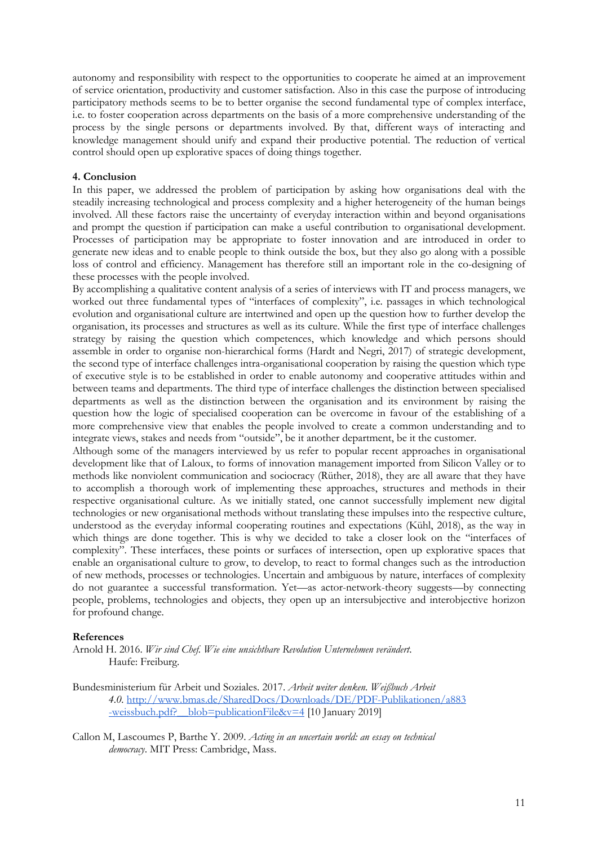autonomy and responsibility with respect to the opportunities to cooperate he aimed at an improvement of service orientation, productivity and customer satisfaction. Also in this case the purpose of introducing participatory methods seems to be to better organise the second fundamental type of complex interface, i.e. to foster cooperation across departments on the basis of a more comprehensive understanding of the process by the single persons or departments involved. By that, different ways of interacting and knowledge management should unify and expand their productive potential. The reduction of vertical control should open up explorative spaces of doing things together.

### **4. Conclusion**

In this paper, we addressed the problem of participation by asking how organisations deal with the steadily increasing technological and process complexity and a higher heterogeneity of the human beings involved. All these factors raise the uncertainty of everyday interaction within and beyond organisations and prompt the question if participation can make a useful contribution to organisational development. Processes of participation may be appropriate to foster innovation and are introduced in order to generate new ideas and to enable people to think outside the box, but they also go along with a possible loss of control and efficiency. Management has therefore still an important role in the co-designing of these processes with the people involved.

By accomplishing a qualitative content analysis of a series of interviews with IT and process managers, we worked out three fundamental types of "interfaces of complexity", i.e. passages in which technological evolution and organisational culture are intertwined and open up the question how to further develop the organisation, its processes and structures as well as its culture. While the first type of interface challenges strategy by raising the question which competences, which knowledge and which persons should assemble in order to organise non-hierarchical forms (Hardt and Negri, 2017) of strategic development, the second type of interface challenges intra-organisational cooperation by raising the question which type of executive style is to be established in order to enable autonomy and cooperative attitudes within and between teams and departments. The third type of interface challenges the distinction between specialised departments as well as the distinction between the organisation and its environment by raising the question how the logic of specialised cooperation can be overcome in favour of the establishing of a more comprehensive view that enables the people involved to create a common understanding and to integrate views, stakes and needs from "outside", be it another department, be it the customer.

Although some of the managers interviewed by us refer to popular recent approaches in organisational development like that of Laloux, to forms of innovation management imported from Silicon Valley or to methods like nonviolent communication and sociocracy (Rüther, 2018), they are all aware that they have to accomplish a thorough work of implementing these approaches, structures and methods in their respective organisational culture. As we initially stated, one cannot successfully implement new digital technologies or new organisational methods without translating these impulses into the respective culture, understood as the everyday informal cooperating routines and expectations (Kühl, 2018), as the way in which things are done together. This is why we decided to take a closer look on the "interfaces of complexity". These interfaces, these points or surfaces of intersection, open up explorative spaces that enable an organisational culture to grow, to develop, to react to formal changes such as the introduction of new methods, processes or technologies. Uncertain and ambiguous by nature, interfaces of complexity do not guarantee a successful transformation. Yet—as actor-network-theory suggests—by connecting people, problems, technologies and objects, they open up an intersubjective and interobjective horizon for profound change.

#### **References**

Arnold H. 2016. *Wir sind Chef. Wie eine unsichtbare Revolution Unternehmen verändert*. Haufe: Freiburg.

- Bundesministerium für Arbeit und Soziales. 2017. *Arbeit weiter denken. Weißbuch Arbeit 4.0.* http://www.bmas.de/SharedDocs/Downloads/DE/PDF-Publikationen/a883 -weissbuch.pdf? blob=publicationFile&v=4 [10 January 2019]
- Callon M, Lascoumes P, Barthe Y. 2009. *Acting in an uncertain world: an essay on technical democracy*. MIT Press: Cambridge, Mass.